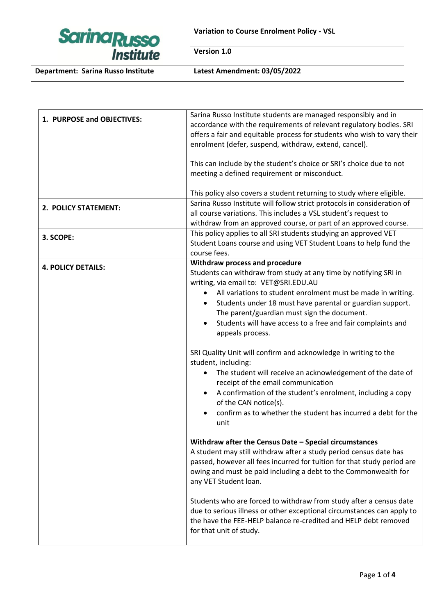| <b>Sarina Russo</b><br><i><b>Institute</b></i> | <b>Variation to Course Enrolment Policy - VSL</b> |
|------------------------------------------------|---------------------------------------------------|
|                                                | Version 1.0                                       |
| Department: Sarina Russo Institute             | Latest Amendment: 03/05/2022                      |

| 1. PURPOSE and OBJECTIVES: | Sarina Russo Institute students are managed responsibly and in<br>accordance with the requirements of relevant regulatory bodies. SRI<br>offers a fair and equitable process for students who wish to vary their<br>enrolment (defer, suspend, withdraw, extend, cancel).<br>This can include by the student's choice or SRI's choice due to not<br>meeting a defined requirement or misconduct.                                                                                                                                                                                                                                                                                                                                                                                                                 |
|----------------------------|------------------------------------------------------------------------------------------------------------------------------------------------------------------------------------------------------------------------------------------------------------------------------------------------------------------------------------------------------------------------------------------------------------------------------------------------------------------------------------------------------------------------------------------------------------------------------------------------------------------------------------------------------------------------------------------------------------------------------------------------------------------------------------------------------------------|
|                            | This policy also covers a student returning to study where eligible.                                                                                                                                                                                                                                                                                                                                                                                                                                                                                                                                                                                                                                                                                                                                             |
| 2. POLICY STATEMENT:       | Sarina Russo Institute will follow strict protocols in consideration of<br>all course variations. This includes a VSL student's request to<br>withdraw from an approved course, or part of an approved course.                                                                                                                                                                                                                                                                                                                                                                                                                                                                                                                                                                                                   |
| 3. SCOPE:                  | This policy applies to all SRI students studying an approved VET<br>Student Loans course and using VET Student Loans to help fund the<br>course fees.                                                                                                                                                                                                                                                                                                                                                                                                                                                                                                                                                                                                                                                            |
| <b>4. POLICY DETAILS:</b>  | Withdraw process and procedure<br>Students can withdraw from study at any time by notifying SRI in<br>writing, via email to: VET@SRI.EDU.AU<br>All variations to student enrolment must be made in writing.<br>$\bullet$<br>Students under 18 must have parental or guardian support.<br>The parent/guardian must sign the document.<br>Students will have access to a free and fair complaints and<br>$\bullet$<br>appeals process.<br>SRI Quality Unit will confirm and acknowledge in writing to the<br>student, including:<br>The student will receive an acknowledgement of the date of<br>receipt of the email communication<br>A confirmation of the student's enrolment, including a copy<br>$\bullet$<br>of the CAN notice(s).<br>confirm as to whether the student has incurred a debt for the<br>unit |
|                            | Withdraw after the Census Date - Special circumstances<br>A student may still withdraw after a study period census date has<br>passed, however all fees incurred for tuition for that study period are<br>owing and must be paid including a debt to the Commonwealth for<br>any VET Student loan.<br>Students who are forced to withdraw from study after a census date<br>due to serious illness or other exceptional circumstances can apply to<br>the have the FEE-HELP balance re-credited and HELP debt removed<br>for that unit of study.                                                                                                                                                                                                                                                                 |
|                            |                                                                                                                                                                                                                                                                                                                                                                                                                                                                                                                                                                                                                                                                                                                                                                                                                  |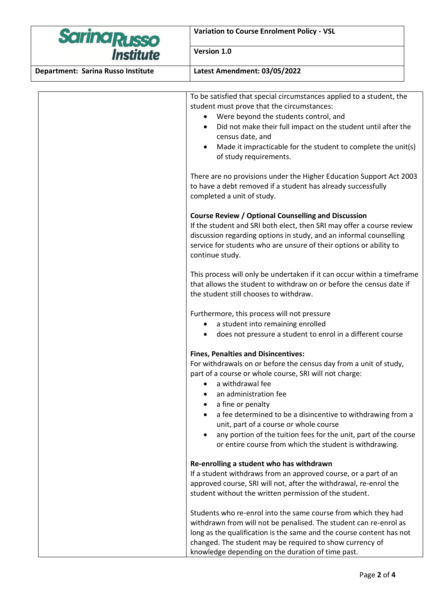| <b>SarinaRusso</b><br>Institute    | <b>Variation to Course Enrolment Policy - VSL</b>                                                                                                                                                                                                                                                                                                                                                                                                                                                                          |
|------------------------------------|----------------------------------------------------------------------------------------------------------------------------------------------------------------------------------------------------------------------------------------------------------------------------------------------------------------------------------------------------------------------------------------------------------------------------------------------------------------------------------------------------------------------------|
|                                    | Version 1.0                                                                                                                                                                                                                                                                                                                                                                                                                                                                                                                |
| Department: Sarina Russo Institute | Latest Amendment: 03/05/2022                                                                                                                                                                                                                                                                                                                                                                                                                                                                                               |
|                                    | To be satisfied that special circumstances applied to a student, the<br>student must prove that the circumstances:<br>Were beyond the students control, and<br>Did not make their full impact on the student until after the<br>census date, and<br>Made it impracticable for the student to complete the unit(s)<br>of study requirements.<br>There are no provisions under the Higher Education Support Act 2003<br>to have a debt removed if a student has already successfully<br>completed a unit of study.           |
|                                    | <b>Course Review / Optional Counselling and Discussion</b><br>If the student and SRI both elect, then SRI may offer a course review<br>discussion regarding options in study, and an informal counselling<br>service for students who are unsure of their options or ability to<br>continue study.<br>This process will only be undertaken if it can occur within a timeframe<br>that allows the student to withdraw on or before the census date if                                                                       |
|                                    | the student still chooses to withdraw.<br>Furthermore, this process will not pressure<br>a student into remaining enrolled<br>does not pressure a student to enrol in a different course                                                                                                                                                                                                                                                                                                                                   |
|                                    | <b>Fines, Penalties and Disincentives:</b><br>For withdrawals on or before the census day from a unit of study,<br>part of a course or whole course, SRI will not charge:<br>a withdrawal fee<br>an administration fee<br>a fine or penalty<br>$\bullet$<br>a fee determined to be a disincentive to withdrawing from a<br>$\bullet$<br>unit, part of a course or whole course<br>any portion of the tuition fees for the unit, part of the course<br>$\bullet$<br>or entire course from which the student is withdrawing. |
|                                    | Re-enrolling a student who has withdrawn<br>If a student withdraws from an approved course, or a part of an<br>approved course, SRI will not, after the withdrawal, re-enrol the<br>student without the written permission of the student.                                                                                                                                                                                                                                                                                 |
|                                    | Students who re-enrol into the same course from which they had<br>withdrawn from will not be penalised. The student can re-enrol as<br>long as the qualification is the same and the course content has not<br>changed. The student may be required to show currency of<br>knowledge depending on the duration of time past.                                                                                                                                                                                               |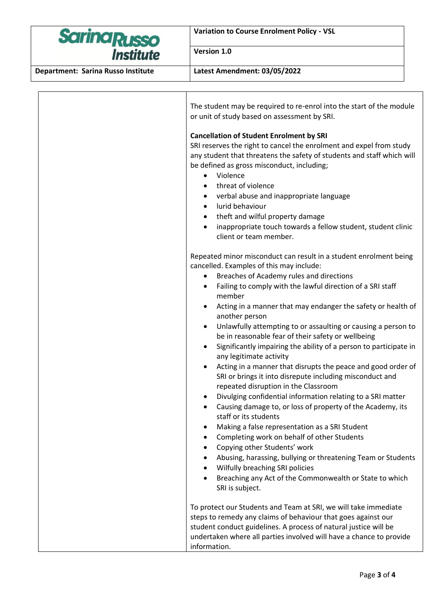| <b>Sarina Russo</b><br><b>Institute</b> | <b>Variation to Course Enrolment Policy - VSL</b>                                                                                                                                                                                                                                                                                                                                                                                                                                                                                                                                                                                                                                                                                                                                                                                                                                 |
|-----------------------------------------|-----------------------------------------------------------------------------------------------------------------------------------------------------------------------------------------------------------------------------------------------------------------------------------------------------------------------------------------------------------------------------------------------------------------------------------------------------------------------------------------------------------------------------------------------------------------------------------------------------------------------------------------------------------------------------------------------------------------------------------------------------------------------------------------------------------------------------------------------------------------------------------|
|                                         | Version 1.0                                                                                                                                                                                                                                                                                                                                                                                                                                                                                                                                                                                                                                                                                                                                                                                                                                                                       |
| Department: Sarina Russo Institute      | Latest Amendment: 03/05/2022                                                                                                                                                                                                                                                                                                                                                                                                                                                                                                                                                                                                                                                                                                                                                                                                                                                      |
|                                         | The student may be required to re-enrol into the start of the module<br>or unit of study based on assessment by SRI.                                                                                                                                                                                                                                                                                                                                                                                                                                                                                                                                                                                                                                                                                                                                                              |
|                                         | <b>Cancellation of Student Enrolment by SRI</b><br>SRI reserves the right to cancel the enrolment and expel from study<br>any student that threatens the safety of students and staff which will<br>be defined as gross misconduct, including;<br>Violence<br>threat of violence<br>verbal abuse and inappropriate language<br>lurid behaviour<br>theft and wilful property damage<br>$\bullet$<br>inappropriate touch towards a fellow student, student clinic<br>client or team member.<br>Repeated minor misconduct can result in a student enrolment being<br>cancelled. Examples of this may include:<br>Breaches of Academy rules and directions<br>Failing to comply with the lawful direction of a SRI staff<br>member<br>Acting in a manner that may endanger the safety or health of<br>another person<br>Unlawfully attempting to or assaulting or causing a person to |
|                                         | be in reasonable fear of their safety or wellbeing<br>Significantly impairing the ability of a person to participate in<br>any legitimate activity<br>Acting in a manner that disrupts the peace and good order of<br>SRI or brings it into disrepute including misconduct and<br>repeated disruption in the Classroom<br>Divulging confidential information relating to a SRI matter<br>Causing damage to, or loss of property of the Academy, its<br>staff or its students<br>Making a false representation as a SRI Student<br>٠<br>Completing work on behalf of other Students<br>Copying other Students' work<br>Abusing, harassing, bullying or threatening Team or Students<br>Wilfully breaching SRI policies<br>Breaching any Act of the Commonwealth or State to which<br>SRI is subject.<br>To protect our Students and Team at SRI, we will take immediate            |
|                                         | steps to remedy any claims of behaviour that goes against our<br>student conduct guidelines. A process of natural justice will be<br>undertaken where all parties involved will have a chance to provide<br>information.                                                                                                                                                                                                                                                                                                                                                                                                                                                                                                                                                                                                                                                          |